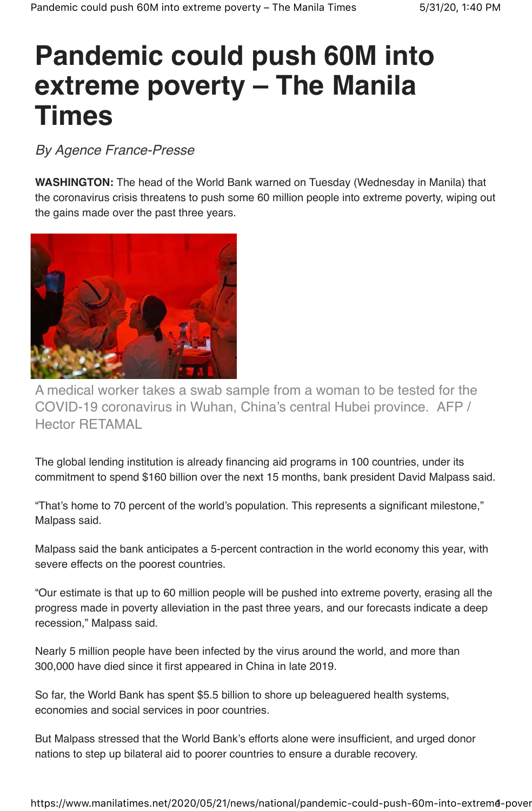## **Pandemic could push 60M into extreme poverty – The Manila Times**

By Agence France-Presse

**WASHINGTON:** The head of the World Bank warned on Tuesday (Wednesday in Manila) that the coronavirus crisis threatens to push some 60 million people into extreme poverty, wiping out the gains made over the past three years.



A medical worker takes a swab sample from a woman to be tested for the COVID-19 coronavirus in Wuhan, China's central Hubei province. AFP / Hector RETAMAL

The global lending institution is already financing aid programs in 100 countries, under its commitment to spend \$160 billion over the next 15 months, bank president David Malpass said.

"That's home to 70 percent of the world's population. This represents a significant milestone," Malpass said.

Malpass said the bank anticipates a 5-percent contraction in the world economy this year, with severe effects on the poorest countries.

"Our estimate is that up to 60 million people will be pushed into extreme poverty, erasing all the progress made in poverty alleviation in the past three years, and our forecasts indicate a deep recession," Malpass said.

Nearly 5 million people have been infected by the virus around the world, and more than 300,000 have died since it first appeared in China in late 2019.

So far, the World Bank has spent \$5.5 billion to shore up beleaguered health systems, economies and social services in poor countries.

But Malpass stressed that the World Bank's efforts alone were insufficient, and urged donor nations to step up bilateral aid to poorer countries to ensure a durable recovery.